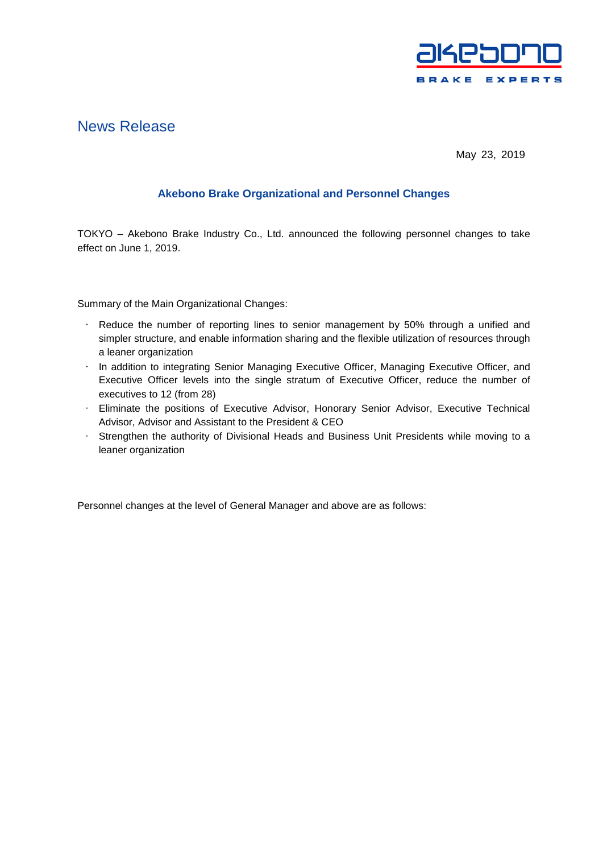

## News Release

May 23, 2019

## **Akebono Brake Organizational and Personnel Changes**

TOKYO – Akebono Brake Industry Co., Ltd. announced the following personnel changes to take effect on June 1, 2019.

Summary of the Main Organizational Changes:

- Reduce the number of reporting lines to senior management by 50% through a unified and simpler structure, and enable information sharing and the flexible utilization of resources through a leaner organization
- In addition to integrating Senior Managing Executive Officer, Managing Executive Officer, and Executive Officer levels into the single stratum of Executive Officer, reduce the number of executives to 12 (from 28)
- Eliminate the positions of Executive Advisor, Honorary Senior Advisor, Executive Technical Advisor, Advisor and Assistant to the President & CEO
- Strengthen the authority of Divisional Heads and Business Unit Presidents while moving to a leaner organization

Personnel changes at the level of General Manager and above are as follows: